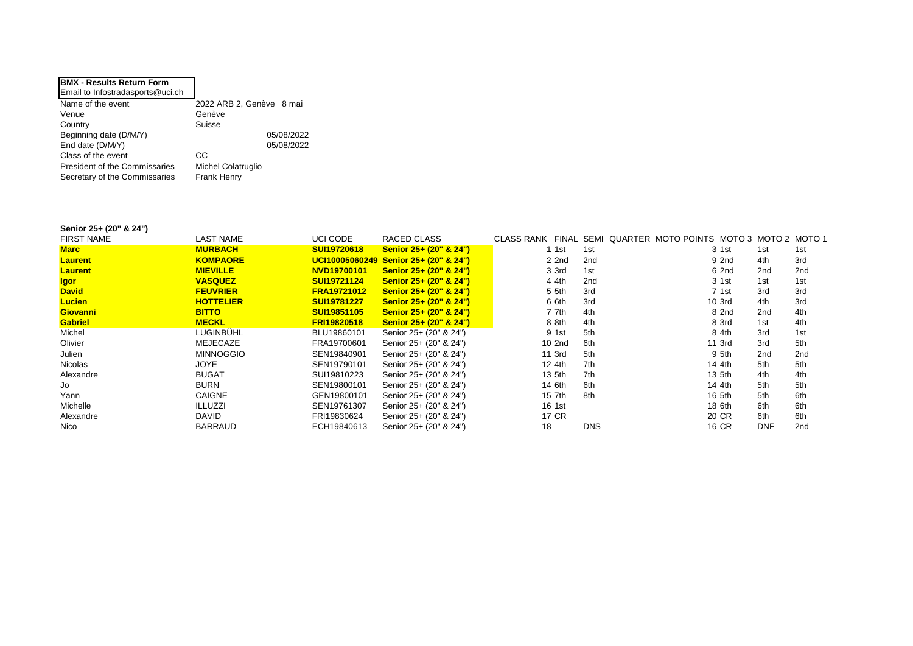| <b>BMX - Results Return Form</b>     |                          |
|--------------------------------------|--------------------------|
| Email to Infostradasports@uci.ch     |                          |
| Name of the event                    | 2022 ARB 2, Genève 8 mai |
| Venue                                | Genève                   |
| Country                              | Suisse                   |
| Beginning date (D/M/Y)               | 05/08/2022               |
| End date (D/M/Y)                     | 05/08/2022               |
| Class of the event                   | СC                       |
| <b>President of the Commissaries</b> | Michel Colatruglio       |
| Secretary of the Commissaries        | Frank Henry              |

## **Senior 25+ (20" & 24")**

| <b>FIRST NAME</b> | <b>LAST NAME</b> | UCI CODE           | RACED CLASS                           |              |                 | CLASS RANK FINAL SEMI QUARTER MOTO POINTS MOTO 3 MOTO 2 MOTO 1 |            |                 |
|-------------------|------------------|--------------------|---------------------------------------|--------------|-----------------|----------------------------------------------------------------|------------|-----------------|
| <b>Marc</b>       | <b>MURBACH</b>   | <b>SUI19720618</b> | Senior 25+ (20" & 24")                | 1 1st        | 1st             | 3 1st                                                          | 1st        | 1st             |
| <b>Laurent</b>    | <b>KOMPAORE</b>  |                    | UCI10005060249 Senior 25+ (20" & 24") | 2 2nd        | 2nd             | 9 2nd                                                          | 4th        | 3rd             |
| <b>Laurent</b>    | <b>MIEVILLE</b>  | NVD19700101        | Senior 25+ (20" & 24")                | 3 3rd        | 1st             | 6 2nd                                                          | 2nd        | 2 <sub>nd</sub> |
| <b>Igor</b>       | <b>VASQUEZ</b>   | <b>SUI19721124</b> | Senior 25+ (20" & 24")                | 4 4th        | 2 <sub>nd</sub> | 3 1st                                                          | 1st        | 1st             |
| <b>David</b>      | <b>FEUVRIER</b>  | <b>FRA19721012</b> | Senior 25+ (20" & 24")                | 5 5th        | 3rd             | 7 1st                                                          | 3rd        | 3rd             |
| <b>Lucien</b>     | <b>HOTTELIER</b> | <b>SUI19781227</b> | Senior 25+ (20" & 24")                | 6 6th        | 3rd             | 10 3rd                                                         | 4th        | 3rd             |
| <b>Giovanni</b>   | <b>BITTO</b>     | <b>SUI19851105</b> | Senior 25+ (20" & 24")                | 7 7th        | 4th             | 8 2nd                                                          | 2nd        | 4th             |
| <b>Gabriel</b>    | <b>MECKL</b>     | <b>FRI19820518</b> | Senior 25+ (20" & 24")                | 8 8th        | 4th             | 8 3rd                                                          | 1st        | 4th             |
| Michel            | LUGINBÜHL        | BLU19860101        | Senior 25+ (20" & 24")                | 9 1st        | 5th             | 8 4th                                                          | 3rd        | 1st             |
| Olivier           | MEJECAZE         | FRA19700601        | Senior 25+ (20" & 24")                | 10 2nd       | 6th             | 11 3rd                                                         | 3rd        | 5th             |
| Julien            | <b>MINNOGGIO</b> | SEN19840901        | Senior 25+ (20" & 24")                | 11 3rd       | 5th             | 9 5th                                                          | 2nd        | 2 <sub>nd</sub> |
| Nicolas           | <b>JOYE</b>      | SEN19790101        | Senior 25+ (20" & 24")                | 12 4th       | 7th             | 14 4th                                                         | 5th        | 5th             |
| Alexandre         | <b>BUGAT</b>     | SUI19810223        | Senior 25+ (20" & 24")                | 13 5th       | 7th             | 13 5th                                                         | 4th        | 4th             |
| Jo                | BURN             | SEN19800101        | Senior 25+ (20" & 24")                | 14 6th       | 6th             | 14 4th                                                         | 5th        | 5th             |
| Yann              | <b>CAIGNE</b>    | GEN19800101        | Senior 25+ (20" & 24")                | 15 7th       | 8th             | 16 5th                                                         | 5th        | 6th             |
| Michelle          | <b>ILLUZZI</b>   | SEN19761307        | Senior 25+ (20" & 24")                | 16 1st       |                 | 18 6th                                                         | 6th        | 6th             |
| Alexandre         | DAVID            | FRI19830624        | Senior 25+ (20" & 24")                | <b>17 CR</b> |                 | 20 CR                                                          | 6th        | 6th             |
| Nico              | BARRAUD          | ECH19840613        | Senior 25+ (20" & 24")                | 18           | <b>DNS</b>      | <b>16 CR</b>                                                   | <b>DNF</b> | 2 <sub>nd</sub> |
|                   |                  |                    |                                       |              |                 |                                                                |            |                 |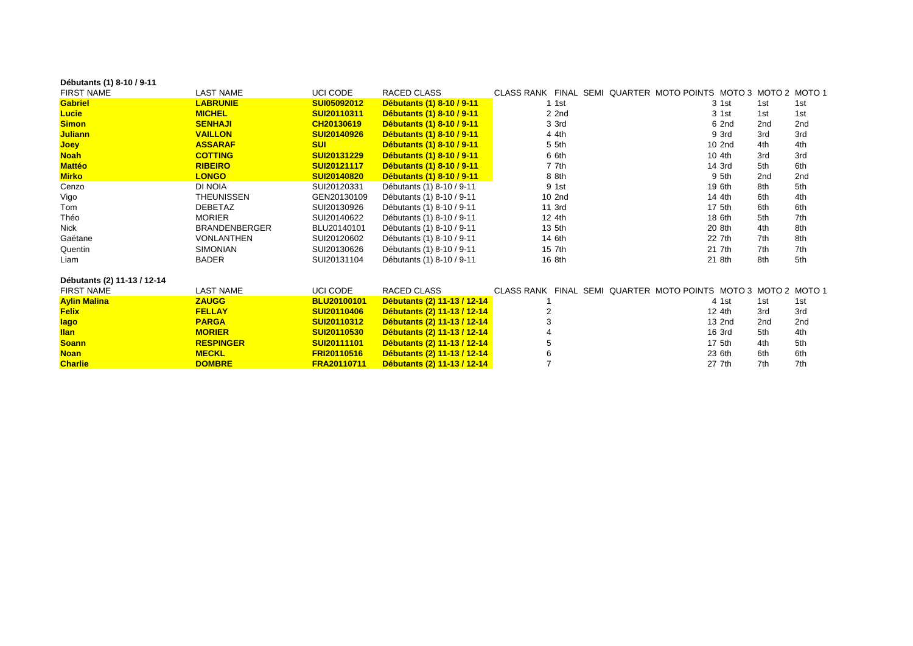| Débutants (1) 8-10 / 9-11   |                      |                    |                             |                                                                |        |     |     |
|-----------------------------|----------------------|--------------------|-----------------------------|----------------------------------------------------------------|--------|-----|-----|
| <b>FIRST NAME</b>           | <b>LAST NAME</b>     | UCI CODE           | <b>RACED CLASS</b>          | CLASS RANK FINAL SEMI QUARTER MOTO POINTS MOTO 3 MOTO 2 MOTO 1 |        |     |     |
| <b>Gabriel</b>              | <b>LABRUNIE</b>      | SUI05092012        | Débutants (1) 8-10 / 9-11   | 1 1 st                                                         | 3 1st  | 1st | 1st |
| <b>Lucie</b>                | <b>MICHEL</b>        | SUI20110311        | Débutants (1) 8-10 / 9-11   | 2 2nd                                                          | 3 1st  | 1st | 1st |
| <b>Simon</b>                | <b>SENHAJI</b>       | CH20130619         | Débutants (1) 8-10 / 9-11   | 3 3rd                                                          | 6 2nd  | 2nd | 2nd |
| <b>Juliann</b>              | <b>VAILLON</b>       | <b>SUI20140926</b> | Débutants (1) 8-10 / 9-11   | 4 4th                                                          | 9 3rd  | 3rd | 3rd |
| <b>Joey</b>                 | <b>ASSARAF</b>       | <b>SUI</b>         | Débutants (1) 8-10 / 9-11   | 5 5th                                                          | 10 2nd | 4th | 4th |
| <b>Noah</b>                 | <b>COTTING</b>       | <b>SUI20131229</b> | Débutants (1) 8-10 / 9-11   | 6 6th                                                          | 10 4th | 3rd | 3rd |
| <b>Mattéo</b>               | <b>RIBEIRO</b>       | <b>SUI20121117</b> | Débutants (1) 8-10 / 9-11   | 7 7th                                                          | 14 3rd | 5th | 6th |
| <b>Mirko</b>                | <b>LONGO</b>         | SUI20140820        | Débutants (1) 8-10 / 9-11   | 8 8th                                                          | 9 5th  | 2nd | 2nd |
| Cenzo                       | <b>DI NOIA</b>       | SUI20120331        | Débutants (1) 8-10 / 9-11   | 9 1st                                                          | 19 6th | 8th | 5th |
| Vigo                        | <b>THEUNISSEN</b>    | GEN20130109        | Débutants (1) 8-10 / 9-11   | 10 2nd                                                         | 14 4th | 6th | 4th |
| Tom                         | <b>DEBETAZ</b>       | SUI20130926        | Débutants (1) 8-10 / 9-11   | 11 3rd                                                         | 17 5th | 6th | 6th |
| Théo                        | <b>MORIER</b>        | SUI20140622        | Débutants (1) 8-10 / 9-11   | 12 4th                                                         | 18 6th | 5th | 7th |
| <b>Nick</b>                 | <b>BRANDENBERGER</b> | BLU20140101        | Débutants (1) 8-10 / 9-11   | 13 5th                                                         | 20 8th | 4th | 8th |
| Gaëtane                     | <b>VONLANTHEN</b>    | SUI20120602        | Débutants (1) 8-10 / 9-11   | 14 6th                                                         | 22 7th | 7th | 8th |
| Quentin                     | <b>SIMONIAN</b>      | SUI20130626        | Débutants (1) 8-10 / 9-11   | 15 7th                                                         | 21 7th | 7th | 7th |
| Liam                        | <b>BADER</b>         | SUI20131104        | Débutants (1) 8-10 / 9-11   | 16 8th                                                         | 21 8th | 8th | 5th |
| Débutants (2) 11-13 / 12-14 |                      |                    |                             |                                                                |        |     |     |
| <b>FIRST NAME</b>           | <b>LAST NAME</b>     | UCI CODE           | RACED CLASS                 | CLASS RANK FINAL SEMI QUARTER MOTO POINTS MOTO 3 MOTO 2 MOTO 1 |        |     |     |
| <b>Aylin Malina</b>         | <b>ZAUGG</b>         | <b>BLU20100101</b> | Débutants (2) 11-13 / 12-14 |                                                                | 4 1st  | 1st | 1st |
| <b>Felix</b>                | <b>FELLAY</b>        | <b>SUI20110406</b> | Débutants (2) 11-13 / 12-14 | $\overline{2}$                                                 | 12 4th | 3rd | 3rd |
| lago                        | <b>PARGA</b>         | SUI20110312        | Débutants (2) 11-13 / 12-14 | 3                                                              | 13 2nd | 2nd | 2nd |
| <b>Ilan</b>                 | <b>MORIER</b>        | SUI20110530        | Débutants (2) 11-13 / 12-14 |                                                                | 16 3rd | 5th | 4th |
| <b>Soann</b>                | <b>RESPINGER</b>     | SUI20111101        | Débutants (2) 11-13 / 12-14 | 5                                                              | 17 5th | 4th | 5th |
| <b>Noan</b>                 | <b>MECKL</b>         | <b>FRI20110516</b> | Débutants (2) 11-13 / 12-14 | 6                                                              | 23 6th | 6th | 6th |
| <b>Charlie</b>              | <b>DOMBRE</b>        | FRA20110711        | Débutants (2) 11-13 / 12-14 | $\overline{7}$                                                 | 27 7th | 7th | 7th |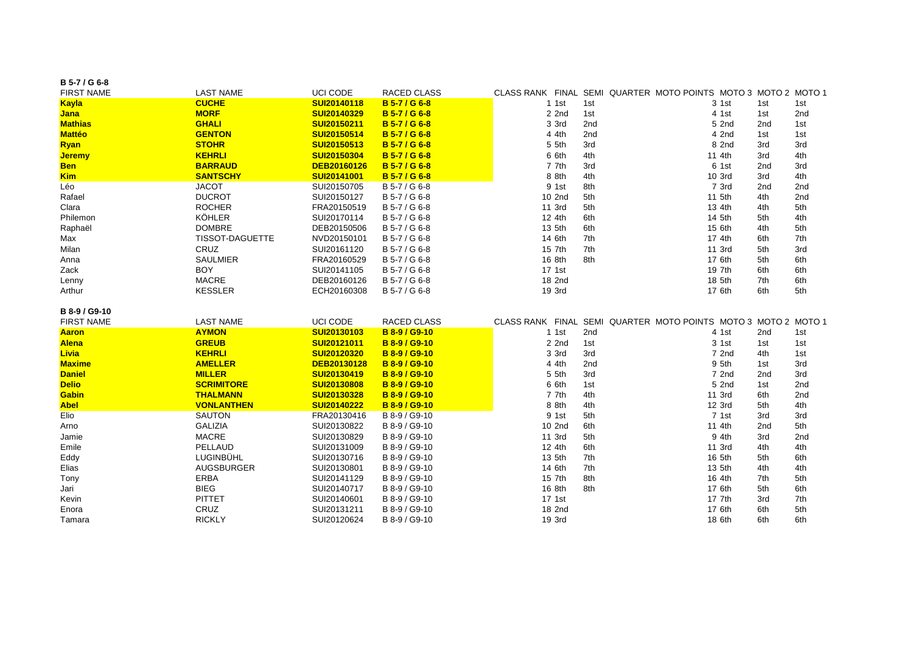| B 5-7 / G 6-8                 |                                    |                            |                                |                |            |                                                                |            |            |
|-------------------------------|------------------------------------|----------------------------|--------------------------------|----------------|------------|----------------------------------------------------------------|------------|------------|
| <b>FIRST NAME</b>             | <b>LAST NAME</b>                   | <b>UCI CODE</b>            | RACED CLASS                    |                |            | CLASS RANK FINAL SEMI QUARTER MOTO POINTS MOTO 3 MOTO 2 MOTO 1 |            |            |
| <b>Kayla</b>                  | <b>CUCHE</b>                       | SUI20140118                | <b>B</b> 5-7 / G 6-8           | 1 1 st         | 1st        | 3 1st                                                          | 1st        | 1st        |
| <b>Jana</b>                   | <b>MORF</b>                        | SUI20140329                | <b>B</b> 5-7 / G 6-8           | 2 2nd          | 1st        | 4 1st                                                          | 1st        | 2nd        |
| <b>Mathias</b>                | <b>GHALI</b>                       | SUI20150211                | <b>B</b> 5-7 / G 6-8           | 3 3rd          | 2nd        | 5 2nd                                                          | 2nd        | 1st        |
| <b>Mattéo</b>                 | <b>GENTON</b>                      | SUI20150514                | <b>B</b> 5-7 / G 6-8           | 4 4th          | 2nd        | 4 2nd                                                          | 1st        | 1st        |
| <b>Ryan</b>                   | <b>STOHR</b>                       | SUI20150513                | <b>B</b> 5-7 / G 6-8           | 5 5th          | 3rd        | 8 2nd                                                          | 3rd        | 3rd        |
| <b>Jeremy</b>                 | <b>KEHRLI</b>                      | SUI20150304                | <b>B</b> 5-7 / G 6-8           | 6 6th          | 4th        | 11 4th                                                         | 3rd        | 4th        |
| <b>Ben</b>                    | <b>BARRAUD</b>                     | DEB20160126                | <b>B</b> 5-7 / G 6-8           | 7 7th          | 3rd        | 6 1st                                                          | 2nd        | 3rd        |
| <b>Kim</b>                    | <b>SANTSCHY</b>                    | SUI20141001                | B 5-7 / G 6-8                  | 8 8th          | 4th        | 10 3rd                                                         | 3rd        | 4th        |
| Léo                           | <b>JACOT</b>                       | SUI20150705                | B 5-7 / G 6-8                  | 9 1st          | 8th        | 7 3rd                                                          | 2nd        | 2nd        |
| Rafael                        | <b>DUCROT</b>                      | SUI20150127                | B 5-7 / G 6-8                  | 10 2nd         | 5th        | 11 5th                                                         | 4th        | 2nd        |
| Clara                         | <b>ROCHER</b>                      | FRA20150519                | B 5-7 / G 6-8                  | 11 3rd         | 5th        | 13 4th                                                         | 4th        | 5th        |
| Philemon                      | <b>KÖHLER</b>                      | SUI20170114                | B 5-7 / G 6-8                  | 12 4th         | 6th        | 14 5th                                                         | 5th        | 4th        |
| Raphaël                       | <b>DOMBRE</b>                      | DEB20150506                | B 5-7 / G 6-8                  | 13 5th         | 6th        | 15 6th                                                         | 4th        | 5th        |
| Max                           | <b>TISSOT-DAGUETTE</b>             | NVD20150101                | B 5-7 / G 6-8                  | 14 6th         | 7th        | 17 4th                                                         | 6th        | 7th        |
| Milan                         | CRUZ                               | SUI20161120                | B 5-7 / G 6-8                  | 15 7th         | 7th        | 11 3rd                                                         | 5th        | 3rd        |
| Anna                          | <b>SAULMIER</b>                    | FRA20160529                | B 5-7 / G 6-8                  | 16 8th         | 8th        | 17 6th                                                         | 5th        | 6th        |
| Zack                          | <b>BOY</b>                         | SUI20141105                | B 5-7 / G 6-8                  | 17 1st         |            | 19 7th                                                         | 6th        | 6th        |
| Lenny                         | <b>MACRE</b>                       | DEB20160126                | B 5-7 / G 6-8                  | 18 2nd         |            | 18 5th                                                         | 7th        | 6th        |
| Arthur                        | <b>KESSLER</b>                     | ECH20160308                | B 5-7 / G 6-8                  | 19 3rd         |            | 17 6th                                                         | 6th        | 5th        |
|                               |                                    |                            |                                |                |            |                                                                |            |            |
| B 8-9 / G9-10                 |                                    |                            |                                |                |            |                                                                |            |            |
| <b>FIRST NAME</b>             | <b>LAST NAME</b>                   | <b>UCI CODE</b>            | RACED CLASS                    |                |            | CLASS RANK FINAL SEMI QUARTER MOTO POINTS MOTO 3 MOTO 2 MOTO 1 |            |            |
| <b>Aaron</b>                  | <b>AYMON</b>                       | SUI20130103                | <b>B 8-9 / G9-10</b>           | 1 1 st         | 2nd        | 4 1st                                                          | 2nd        | 1st        |
| <b>Alena</b>                  | <b>GREUB</b>                       | SUI20121011                | B 8-9 / G9-10                  | 2 2nd          | 1st        | 3 1st                                                          | 1st        | 1st        |
| <b>Livia</b>                  | <b>KEHRLI</b>                      | SUI20120320                | B 8-9 / G9-10                  | 3 3rd          | 3rd        | 7 2nd                                                          | 4th        | 1st        |
| <b>Maxime</b>                 | <b>AMELLER</b>                     | DEB20130128                | <b>B 8-9 / G9-10</b>           | 4 4th          | 2nd        | 9 5th                                                          | 1st        | 3rd        |
| <b>Daniel</b><br><b>Delio</b> | <b>MILLER</b><br><b>SCRIMITORE</b> | SUI20130419<br>SUI20130808 | B 8-9 / G9-10<br>B 8-9 / G9-10 | 5 5th          | 3rd        | 7 2nd                                                          | 2nd        | 3rd        |
|                               | <b>THALMANN</b>                    |                            | <b>B 8-9 / G9-10</b>           | 6 6th<br>7 7th | 1st<br>4th | 5 2nd<br>11 3rd                                                | 1st        | 2nd        |
| Gabin<br><b>Abel</b>          | <b>VONLANTHEN</b>                  | SUI20130328<br>SUI20140222 | <b>B 8-9 / G9-10</b>           | 8 8th          | 4th        | 12 3rd                                                         | 6th<br>5th | 2nd<br>4th |
| Elio                          | <b>SAUTON</b>                      | FRA20130416                | B 8-9 / G9-10                  | 9 1st          | 5th        | 7 1st                                                          | 3rd        | 3rd        |
| Arno                          | <b>GALIZIA</b>                     | SUI20130822                | B 8-9 / G9-10                  | 10 2nd         | 6th        | 11 4th                                                         | 2nd        | 5th        |
| Jamie                         | <b>MACRE</b>                       | SUI20130829                | B 8-9 / G9-10                  | 11 3rd         | 5th        | 9 4th                                                          | 3rd        | 2nd        |
| Emile                         | <b>PELLAUD</b>                     | SUI20131009                | B 8-9 / G9-10                  | 12 4th         | 6th        | 11 3rd                                                         | 4th        | 4th        |
| Eddy                          | LUGINBÜHL                          | SUI20130716                | B 8-9 / G9-10                  | 13 5th         | 7th        | 16 5th                                                         | 5th        | 6th        |
| Elias                         | AUGSBURGER                         | SUI20130801                | B 8-9 / G9-10                  | 14 6th         | 7th        | 13 5th                                                         | 4th        | 4th        |
| Tony                          | ERBA                               | SUI20141129                | B 8-9 / G9-10                  | 15 7th         | 8th        | 16 4th                                                         | 7th        | 5th        |
| Jari                          | <b>BIEG</b>                        | SUI20140717                | B 8-9 / G9-10                  | 16 8th         | 8th        | 17 6th                                                         | 5th        | 6th        |
| Kevin                         | <b>PITTET</b>                      | SUI20140601                | B 8-9 / G9-10                  | 17 1st         |            | 17 7th                                                         | 3rd        | 7th        |
| Enora                         | CRUZ                               | SUI20131211                | B 8-9 / G9-10                  | 18 2nd         |            | 17 6th                                                         | 6th        | 5th        |
| Tamara                        |                                    |                            | B 8-9 / G9-10                  | 19 3rd         |            | 18 6th                                                         | 6th        | 6th        |
|                               | <b>RICKLY</b>                      | SUI20120624                |                                |                |            |                                                                |            |            |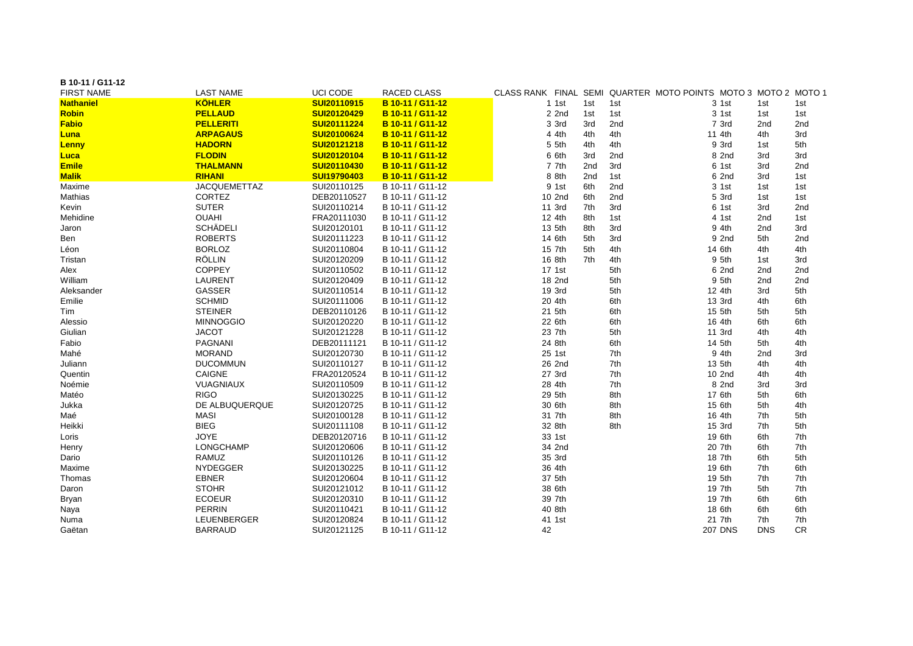| B 10-11 / G11-12  |                     |                 |                    |         |     |     |                                                                |            |     |
|-------------------|---------------------|-----------------|--------------------|---------|-----|-----|----------------------------------------------------------------|------------|-----|
| <b>FIRST NAME</b> | <b>LAST NAME</b>    | <b>UCI CODE</b> | <b>RACED CLASS</b> |         |     |     | CLASS RANK FINAL SEMI QUARTER MOTO POINTS MOTO 3 MOTO 2 MOTO 1 |            |     |
| <b>Nathaniel</b>  | <b>KÖHLER</b>       | SUI20110915     | B 10-11 / G11-12   | $1$ 1st | 1st | 1st | 3 1st                                                          | 1st        | 1st |
| <b>Robin</b>      | <b>PELLAUD</b>      | SUI20120429     | B 10-11 / G11-12   | $2$ 2nd | 1st | 1st | 3 1st                                                          | 1st        | 1st |
| <b>Fabio</b>      | <b>PELLERITI</b>    | SUI20111224     | B 10-11 / G11-12   | 3 3rd   | 3rd | 2nd | 7 3rd                                                          | 2nd        | 2nd |
| Luna              | <b>ARPAGAUS</b>     | SUI20100624     | B 10-11 / G11-12   | 4 4th   | 4th | 4th | 11 4th                                                         | 4th        | 3rd |
| <b>Lenny</b>      | <b>HADORN</b>       | SUI20121218     | B 10-11 / G11-12   | 5 5th   | 4th | 4th | 9 3rd                                                          | 1st        | 5th |
| <b>Luca</b>       | <b>FLODIN</b>       | SUI20120104     | B 10-11 / G11-12   | 6 6th   | 3rd | 2nd | 8 2nd                                                          | 3rd        | 3rd |
| <b>Emile</b>      | <b>THALMANN</b>     | SUI20110430     | B 10-11 / G11-12   | 7 7th   | 2nd | 3rd | 6 1st                                                          | 3rd        | 2nd |
| <b>Malik</b>      | <b>RIHANI</b>       | SUI19790403     | B 10-11 / G11-12   | 8 8th   | 2nd | 1st | 6 2nd                                                          | 3rd        | 1st |
| Maxime            | <b>JACQUEMETTAZ</b> | SUI20110125     | B 10-11 / G11-12   | 9 1st   | 6th | 2nd | 3 1st                                                          | 1st        | 1st |
| Mathias           | <b>CORTEZ</b>       | DEB20110527     | B 10-11 / G11-12   | 10 2nd  | 6th | 2nd | 5 3rd                                                          | 1st        | 1st |
| Kevin             | <b>SUTER</b>        | SUI20110214     | B 10-11 / G11-12   | 11 3rd  | 7th | 3rd | 6 1st                                                          | 3rd        | 2nd |
| Mehidine          | <b>OUAHI</b>        | FRA20111030     | B 10-11 / G11-12   | 12 4th  | 8th | 1st | 4 1st                                                          | 2nd        | 1st |
| Jaron             | <b>SCHÄDELI</b>     | SUI20120101     | B 10-11 / G11-12   | 13 5th  | 8th | 3rd | 9 4th                                                          | 2nd        | 3rd |
| Ben               | <b>ROBERTS</b>      | SUI20111223     | B 10-11 / G11-12   | 14 6th  | 5th | 3rd | 9 2nd                                                          | 5th        | 2nd |
| Léon              | <b>BORLOZ</b>       | SUI20110804     | B 10-11 / G11-12   | 15 7th  | 5th | 4th | 14 6th                                                         | 4th        | 4th |
| Tristan           | RÖLLIN              | SUI20120209     | B 10-11 / G11-12   | 16 8th  | 7th | 4th | 9 5th                                                          | 1st        | 3rd |
| Alex              | <b>COPPEY</b>       | SUI20110502     | B 10-11 / G11-12   | 17 1st  |     | 5th | 6 2nd                                                          | 2nd        | 2nd |
| William           | <b>LAURENT</b>      | SUI20120409     | B 10-11 / G11-12   | 18 2nd  |     | 5th | 9 5th                                                          | 2nd        | 2nd |
| Aleksander        | <b>GASSER</b>       | SUI20110514     | B 10-11 / G11-12   | 19 3rd  |     | 5th | 12 4th                                                         | 3rd        | 5th |
| Emilie            | <b>SCHMID</b>       | SUI20111006     | B 10-11 / G11-12   | 20 4th  |     | 6th | 13 3rd                                                         | 4th        | 6th |
| Tim               | <b>STEINER</b>      | DEB20110126     | B 10-11 / G11-12   | 21 5th  |     | 6th | 15 5th                                                         | 5th        | 5th |
| Alessio           | <b>MINNOGGIO</b>    | SUI20120220     | B 10-11 / G11-12   | 22 6th  |     | 6th | 16 4th                                                         | 6th        | 6th |
| Giulian           | <b>JACOT</b>        | SUI20121228     | B 10-11 / G11-12   | 23 7th  |     | 5th | 11 3rd                                                         | 4th        | 4th |
| Fabio             | <b>PAGNANI</b>      | DEB20111121     | B 10-11 / G11-12   | 24 8th  |     | 6th | 14 5th                                                         | 5th        | 4th |
| Mahé              | <b>MORAND</b>       | SUI20120730     | B 10-11 / G11-12   | 25 1st  |     | 7th | 9 4th                                                          | 2nd        | 3rd |
| Juliann           | <b>DUCOMMUN</b>     | SUI20110127     | B 10-11 / G11-12   | 26 2nd  |     | 7th | 13 5th                                                         | 4th        | 4th |
| Quentin           | <b>CAIGNE</b>       | FRA20120524     | B 10-11 / G11-12   | 27 3rd  |     | 7th | 10 2nd                                                         | 4th        | 4th |
| Noémie            | VUAGNIAUX           | SUI20110509     | B 10-11 / G11-12   | 28 4th  |     | 7th | 8 2nd                                                          | 3rd        | 3rd |
| Matéo             | <b>RIGO</b>         | SUI20130225     | B 10-11 / G11-12   | 29 5th  |     | 8th | 17 6th                                                         | 5th        | 6th |
| Jukka             | DE ALBUQUERQUE      | SUI20120725     | B 10-11 / G11-12   | 30 6th  |     | 8th | 15 6th                                                         | 5th        | 4th |
| Maé               | <b>MASI</b>         | SUI20100128     | B 10-11 / G11-12   | 31 7th  |     | 8th | 16 4th                                                         | 7th        | 5th |
| Heikki            | <b>BIEG</b>         | SUI20111108     | B 10-11 / G11-12   | 32 8th  |     | 8th | 15 3rd                                                         | 7th        | 5th |
| Loris             | <b>JOYE</b>         | DEB20120716     | B 10-11 / G11-12   | 33 1st  |     |     | 19 6th                                                         | 6th        | 7th |
| Henry             | LONGCHAMP           | SUI20120606     | B 10-11 / G11-12   | 34 2nd  |     |     | 20 7th                                                         | 6th        | 7th |
| Dario             | RAMUZ               | SUI20110126     | B 10-11 / G11-12   | 35 3rd  |     |     | 18 7th                                                         | 6th        | 5th |
| Maxime            | <b>NYDEGGER</b>     | SUI20130225     | B 10-11 / G11-12   | 36 4th  |     |     | 19 6th                                                         | 7th        | 6th |
| Thomas            | <b>EBNER</b>        | SUI20120604     | B 10-11 / G11-12   | 37 5th  |     |     | 19 5th                                                         | 7th        | 7th |
| Daron             | <b>STOHR</b>        | SUI20121012     | B 10-11 / G11-12   | 38 6th  |     |     | 19 7th                                                         | 5th        | 7th |
| Bryan             | <b>ECOEUR</b>       | SUI20120310     | B 10-11 / G11-12   | 39 7th  |     |     | 19 7th                                                         | 6th        | 6th |
| Naya              | PERRIN              | SUI20110421     | B 10-11 / G11-12   | 40 8th  |     |     | 18 6th                                                         | 6th        | 6th |
| Numa              | LEUENBERGER         | SUI20120824     | B 10-11 / G11-12   | 41 1st  |     |     | 21 7th                                                         | 7th        | 7th |
| Gaëtan            | <b>BARRAUD</b>      | SUI20121125     | B 10-11 / G11-12   | 42      |     |     | <b>207 DNS</b>                                                 | <b>DNS</b> | CR  |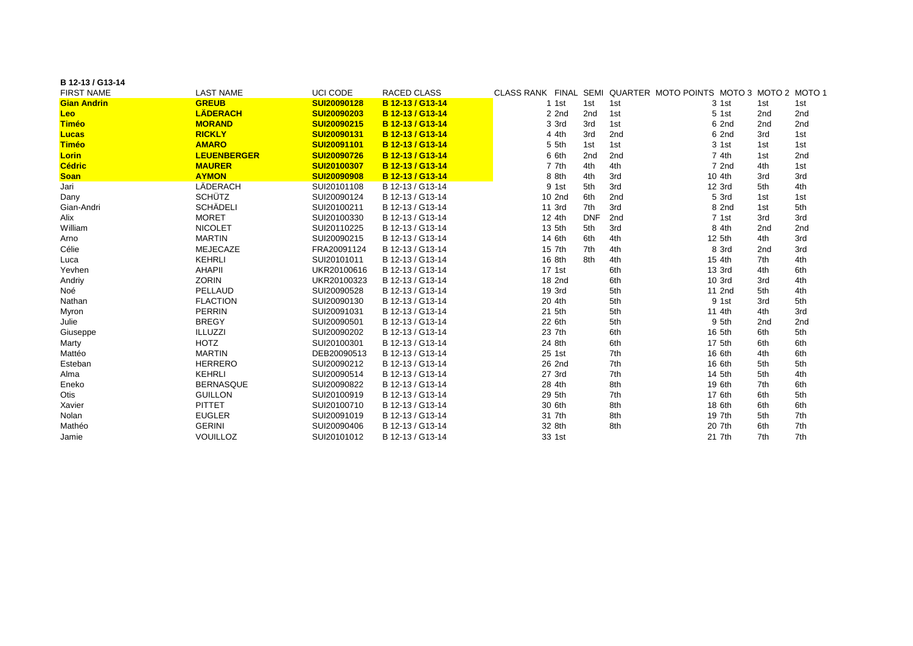| B 12-13 / G13-14   |                    |                    |                    |         |            |     |                                                                |     |     |
|--------------------|--------------------|--------------------|--------------------|---------|------------|-----|----------------------------------------------------------------|-----|-----|
| <b>FIRST NAME</b>  | <b>LAST NAME</b>   | <b>UCI CODE</b>    | <b>RACED CLASS</b> |         |            |     | CLASS RANK FINAL SEMI QUARTER MOTO POINTS MOTO 3 MOTO 2 MOTO 1 |     |     |
| <b>Gian Andrin</b> | <b>GREUB</b>       | SUI20090128        | B 12-13 / G13-14   | $1$ 1st | 1st        | 1st | 3 1st                                                          | 1st | 1st |
| Leo                | <b>LÄDERACH</b>    | SUI20090203        | B 12-13 / G13-14   | 2 2nd   | 2nd        | 1st | 5 1st                                                          | 2nd | 2nd |
| <b>Timéo</b>       | <b>MORAND</b>      | SUI20090215        | B 12-13 / G13-14   | 3 3rd   | 3rd        | 1st | 6 2nd                                                          | 2nd | 2nd |
| <b>Lucas</b>       | <b>RICKLY</b>      | SUI20090131        | B 12-13 / G13-14   | 4 4th   | 3rd        | 2nd | 6 2nd                                                          | 3rd | 1st |
| Timéo              | <b>AMARO</b>       | SUI20091101        | B 12-13 / G13-14   | 5 5th   | 1st        | 1st | 3 1st                                                          | 1st | 1st |
| <b>Lorin</b>       | <b>LEUENBERGER</b> | <b>SUI20090726</b> | B 12-13 / G13-14   | 6 6th   | 2nd        | 2nd | 7 4th                                                          | 1st | 2nd |
| <b>Cédric</b>      | <b>MAURER</b>      | SUI20100307        | B 12-13 / G13-14   | 7 7th   | 4th        | 4th | 7 2nd                                                          | 4th | 1st |
| <b>Soan</b>        | <b>AYMON</b>       | <b>SUI20090908</b> | B 12-13 / G13-14   | 8 8th   | 4th        | 3rd | 10 4th                                                         | 3rd | 3rd |
| Jari               | LÄDERACH           | SUI20101108        | B 12-13 / G13-14   | 9 1st   | 5th        | 3rd | 12 3rd                                                         | 5th | 4th |
| Dany               | <b>SCHÜTZ</b>      | SUI20090124        | B 12-13 / G13-14   | 10 2nd  | 6th        | 2nd | 5 3rd                                                          | 1st | 1st |
| Gian-Andri         | <b>SCHÄDELI</b>    | SUI20100211        | B 12-13 / G13-14   | 11 3rd  | 7th        | 3rd | 8 2nd                                                          | 1st | 5th |
| Alix               | <b>MORET</b>       | SUI20100330        | B 12-13 / G13-14   | 12 4th  | <b>DNF</b> | 2nd | 7 1st                                                          | 3rd | 3rd |
| William            | <b>NICOLET</b>     | SUI20110225        | B 12-13 / G13-14   | 13 5th  | 5th        | 3rd | 8 4th                                                          | 2nd | 2nd |
| Arno               | <b>MARTIN</b>      | SUI20090215        | B 12-13 / G13-14   | 14 6th  | 6th        | 4th | 12 5th                                                         | 4th | 3rd |
| Célie              | <b>MEJECAZE</b>    | FRA20091124        | B 12-13 / G13-14   | 15 7th  | 7th        | 4th | 8 3rd                                                          | 2nd | 3rd |
| Luca               | <b>KEHRLI</b>      | SUI20101011        | B 12-13 / G13-14   | 16 8th  | 8th        | 4th | 15 4th                                                         | 7th | 4th |
| Yevhen             | <b>AHAPII</b>      | UKR20100616        | B 12-13 / G13-14   | 17 1st  |            | 6th | 13 3rd                                                         | 4th | 6th |
| Andriy             | <b>ZORIN</b>       | UKR20100323        | B 12-13 / G13-14   | 18 2nd  |            | 6th | 10 3rd                                                         | 3rd | 4th |
| Noé                | PELLAUD            | SUI20090528        | B 12-13 / G13-14   | 19 3rd  |            | 5th | 11 2nd                                                         | 5th | 4th |
| Nathan             | <b>FLACTION</b>    | SUI20090130        | B 12-13 / G13-14   | 20 4th  |            | 5th | 9 1st                                                          | 3rd | 5th |
| Myron              | <b>PERRIN</b>      | SUI20091031        | B 12-13 / G13-14   | 21 5th  |            | 5th | 11 4th                                                         | 4th | 3rd |
| Julie              | <b>BREGY</b>       | SUI20090501        | B 12-13 / G13-14   | 22 6th  |            | 5th | 9 5th                                                          | 2nd | 2nd |
| Giuseppe           | <b>ILLUZZI</b>     | SUI20090202        | B 12-13 / G13-14   | 23 7th  |            | 6th | 16 5th                                                         | 6th | 5th |
| Marty              | <b>HOTZ</b>        | SUI20100301        | B 12-13 / G13-14   | 24 8th  |            | 6th | 17 5th                                                         | 6th | 6th |
| Mattéo             | <b>MARTIN</b>      | DEB20090513        | B 12-13 / G13-14   | 25 1st  |            | 7th | 16 6th                                                         | 4th | 6th |
| Esteban            | <b>HERRERO</b>     | SUI20090212        | B 12-13 / G13-14   | 26 2nd  |            | 7th | 16 6th                                                         | 5th | 5th |
| Alma               | <b>KEHRLI</b>      | SUI20090514        | B 12-13 / G13-14   | 27 3rd  |            | 7th | 14 5th                                                         | 5th | 4th |
| Eneko              | <b>BERNASQUE</b>   | SUI20090822        | B 12-13 / G13-14   | 28 4th  |            | 8th | 19 6th                                                         | 7th | 6th |
| Otis               | <b>GUILLON</b>     | SUI20100919        | B 12-13 / G13-14   | 29 5th  |            | 7th | 17 6th                                                         | 6th | 5th |
| Xavier             | <b>PITTET</b>      | SUI20100710        | B 12-13 / G13-14   | 30 6th  |            | 8th | 18 6th                                                         | 6th | 6th |
| Nolan              | <b>EUGLER</b>      | SUI20091019        | B 12-13 / G13-14   | 31 7th  |            | 8th | 19 7th                                                         | 5th | 7th |
| Mathéo             | <b>GERINI</b>      | SUI20090406        | B 12-13 / G13-14   | 32 8th  |            | 8th | 20 7th                                                         | 6th | 7th |
| Jamie              | <b>VOUILLOZ</b>    | SUI20101012        | B 12-13 / G13-14   | 33 1st  |            |     | 21 7th                                                         | 7th | 7th |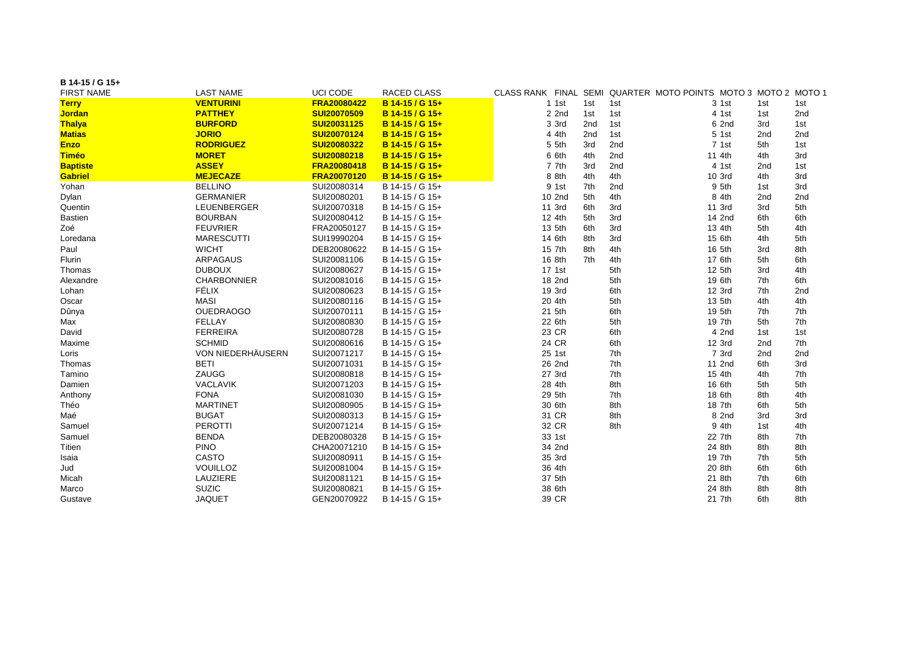| B 14-15 / G 15+   |                          |             |                    |         |     |     |                                                                |     |     |
|-------------------|--------------------------|-------------|--------------------|---------|-----|-----|----------------------------------------------------------------|-----|-----|
| <b>FIRST NAME</b> | <b>LAST NAME</b>         | UCI CODE    | <b>RACED CLASS</b> |         |     |     | CLASS RANK FINAL SEMI QUARTER MOTO POINTS MOTO 3 MOTO 2 MOTO 1 |     |     |
| <b>Terry</b>      | <b>VENTURINI</b>         | FRA20080422 | B 14-15 / G 15+    | 1 1st   | 1st | 1st | 3 1st                                                          | 1st | 1st |
| <b>Jordan</b>     | <b>PATTHEY</b>           | SUI20070509 | B 14-15 / G 15+    | $2$ 2nd | 1st | 1st | 4 1st                                                          | 1st | 2nd |
| <b>Thalya</b>     | <b>BURFORD</b>           | SUI20031125 | B 14-15 / G 15+    | 3 3rd   | 2nd | 1st | 6 2nd                                                          | 3rd | 1st |
| <b>Matias</b>     | <b>JORIO</b>             | SUI20070124 | B 14-15 / G 15+    | 4 4th   | 2nd | 1st | 5 1st                                                          | 2nd | 2nd |
| <b>Enzo</b>       | <b>RODRIGUEZ</b>         | SUI20080322 | B 14-15 / G 15+    | 5 5th   | 3rd | 2nd | 7 1st                                                          | 5th | 1st |
| <b>Timéo</b>      | <b>MORET</b>             | SUI20080218 | B 14-15 / G 15+    | 6 6th   | 4th | 2nd | 11 4th                                                         | 4th | 3rd |
| <b>Baptiste</b>   | <b>ASSEY</b>             | FRA20080418 | B 14-15 / G 15+    | 7 7th   | 3rd | 2nd | 4 1st                                                          | 2nd | 1st |
| <b>Gabriel</b>    | <b>MEJECAZE</b>          | FRA20070120 | B 14-15 / G 15+    | 8 8th   | 4th | 4th | 10 3rd                                                         | 4th | 3rd |
| Yohan             | <b>BELLINO</b>           | SUI20080314 | B 14-15 / G 15+    | 9 1st   | 7th | 2nd | 9 5th                                                          | 1st | 3rd |
| Dylan             | <b>GERMANIER</b>         | SUI20080201 | B 14-15 / G 15+    | 10 2nd  | 5th | 4th | 8 4th                                                          | 2nd | 2nd |
| Quentin           | LEUENBERGER              | SUI20070318 | B 14-15 / G 15+    | 11 3rd  | 6th | 3rd | 11 3rd                                                         | 3rd | 5th |
| <b>Bastien</b>    | <b>BOURBAN</b>           | SUI20080412 | B 14-15 / G 15+    | 12 4th  | 5th | 3rd | 14 2nd                                                         | 6th | 6th |
| Zoé               | <b>FEUVRIER</b>          | FRA20050127 | B 14-15 / G 15+    | 13 5th  | 6th | 3rd | 13 4th                                                         | 5th | 4th |
| Loredana          | <b>MARESCUTTI</b>        | SUI19990204 | B 14-15 / G 15+    | 14 6th  | 8th | 3rd | 15 6th                                                         | 4th | 5th |
| Paul              | <b>WICHT</b>             | DEB20080622 | B 14-15 / G 15+    | 15 7th  | 8th | 4th | 16 5th                                                         | 3rd | 8th |
| Flurin            | <b>ARPAGAUS</b>          | SUI20081106 | B 14-15 / G 15+    | 16 8th  | 7th | 4th | 17 6th                                                         | 5th | 6th |
| <b>Thomas</b>     | <b>DUBOUX</b>            | SUI20080627 | B 14-15 / G 15+    | 17 1st  |     | 5th | 12 5th                                                         | 3rd | 4th |
| Alexandre         | <b>CHARBONNIER</b>       | SUI20081016 | B 14-15 / G 15+    | 18 2nd  |     | 5th | 19 6th                                                         | 7th | 6th |
| Lohan             | FÉLIX                    | SUI20080623 | B 14-15 / G 15+    | 19 3rd  |     | 6th | 12 3rd                                                         | 7th | 2nd |
| Oscar             | <b>MASI</b>              | SUI20080116 | B 14-15 / G 15+    | 20 4th  |     | 5th | 13 5th                                                         | 4th | 4th |
| Dûnya             | <b>OUEDRAOGO</b>         | SUI20070111 | B 14-15 / G 15+    | 21 5th  |     | 6th | 19 5th                                                         | 7th | 7th |
| Max               | <b>FELLAY</b>            | SUI20080830 | B 14-15 / G 15+    | 22 6th  |     | 5th | 19 7th                                                         | 5th | 7th |
| David             | <b>FERREIRA</b>          | SUI20080728 | B 14-15 / G 15+    | 23 CR   |     | 6th | 4 2nd                                                          | 1st | 1st |
| Maxime            | <b>SCHMID</b>            | SUI20080616 | B 14-15 / G 15+    | 24 CR   |     | 6th | 12 3rd                                                         | 2nd | 7th |
| Loris             | <b>VON NIEDERHÄUSERN</b> | SUI20071217 | B 14-15 / G 15+    | 25 1st  |     | 7th | 7 3rd                                                          | 2nd | 2nd |
| Thomas            | <b>BETI</b>              | SUI20071031 | B 14-15 / G 15+    | 26 2nd  |     | 7th | 11 2nd                                                         | 6th | 3rd |
| Tamino            | ZAUGG                    | SUI20080818 | B 14-15 / G 15+    | 27 3rd  |     | 7th | 15 4th                                                         | 4th | 7th |
| Damien            | <b>VACLAVIK</b>          | SUI20071203 | B 14-15 / G 15+    | 28 4th  |     | 8th | 16 6th                                                         | 5th | 5th |
| Anthony           | <b>FONA</b>              | SUI20081030 | B 14-15 / G 15+    | 29 5th  |     | 7th | 18 6th                                                         | 8th | 4th |
| Théo              | <b>MARTINET</b>          | SUI20080905 | B 14-15 / G 15+    | 30 6th  |     | 8th | 18 7th                                                         | 6th | 5th |
| Maé               | <b>BUGAT</b>             | SUI20080313 | B 14-15 / G 15+    | 31 CR   |     | 8th | 8 2nd                                                          | 3rd | 3rd |
| Samuel            | PEROTTI                  | SUI20071214 | B 14-15 / G 15+    | 32 CR   |     | 8th | 9 4th                                                          | 1st | 4th |
| Samuel            | <b>BENDA</b>             | DEB20080328 | B 14-15 / G 15+    | 33 1st  |     |     | 22 7th                                                         | 8th | 7th |
| Titien            | <b>PINO</b>              | CHA20071210 | B 14-15 / G 15+    | 34 2nd  |     |     | 24 8th                                                         | 8th | 8th |
| Isaia             | <b>CASTO</b>             | SUI20080911 | B 14-15 / G 15+    | 35 3rd  |     |     | 19 7th                                                         | 7th | 5th |
| Jud               | <b>VOUILLOZ</b>          | SUI20081004 | B 14-15 / G 15+    | 36 4th  |     |     | 20 8th                                                         | 6th | 6th |
| Micah             | LAUZIERE                 | SUI20081121 | B 14-15 / G 15+    | 37 5th  |     |     | 21 8th                                                         | 7th | 6th |
| Marco             | <b>SUZIC</b>             | SUI20080821 | B 14-15 / G 15+    | 38 6th  |     |     | 24 8th                                                         | 8th | 8th |
| Gustave           | <b>JAQUET</b>            | GEN20070922 | B 14-15 / G 15+    | 39 CR   |     |     | 21 7th                                                         | 6th | 8th |